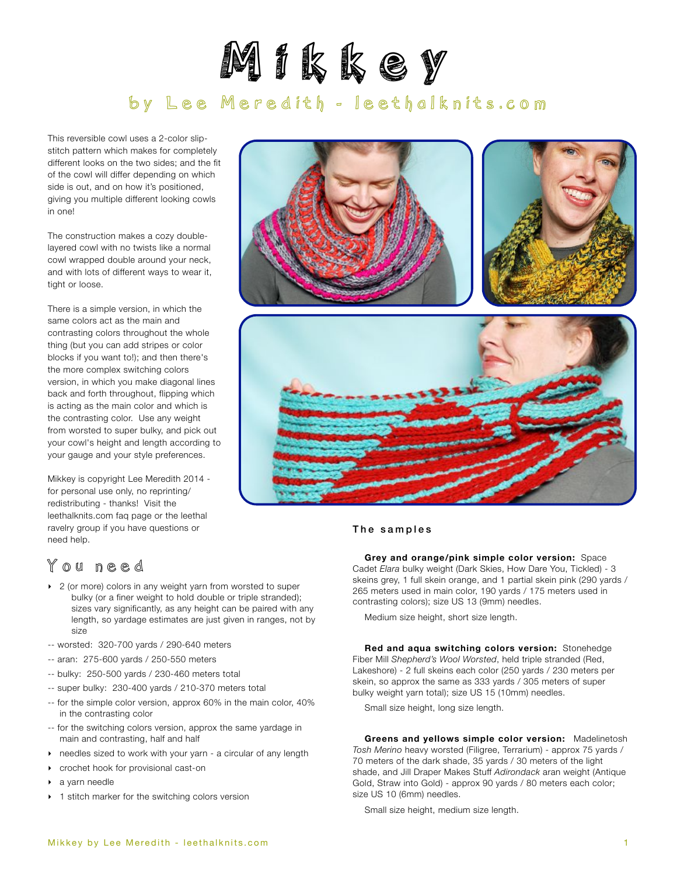

# by Lee Meredith - leethalknits.com

This reversible cowl uses a 2-color slipstitch pattern which makes for completely different looks on the two sides; and the fit of the cowl will differ depending on which side is out, and on how it's positioned, giving you multiple different looking cowls in one!

The construction makes a cozy doublelayered cowl with no twists like a normal cowl wrapped double around your neck, and with lots of different ways to wear it, tight or loose.

There is a simple version, in which the same colors act as the main and contrasting colors throughout the whole thing (but you can add stripes or color blocks if you want to!); and then there's the more complex switching colors version, in which you make diagonal lines back and forth throughout, flipping which is acting as the main color and which is the contrasting color. Use any weight from worsted to super bulky, and pick out your cowl's height and length according to your gauge and your style preferences.

Mikkey is copyright Lee Meredith 2014 for personal use only, no reprinting/ redistributing - thanks! Visit the leethalknits.com faq page or the leethal ravelry group if you have questions or need help.



## You need

- ▶ 2 (or more) colors in any weight yarn from worsted to super bulky (or a finer weight to hold double or triple stranded); sizes vary significantly, as any height can be paired with any length, so yardage estimates are just given in ranges, not by size
- -- worsted: 320-700 yards / 290-640 meters
- -- aran: 275-600 yards / 250-550 meters
- -- bulky: 250-500 yards / 230-460 meters total
- -- super bulky: 230-400 yards / 210-370 meters total
- -- for the simple color version, approx 60% in the main color, 40% in the contrasting color
- -- for the switching colors version, approx the same yardage in main and contrasting, half and half
- ‣ needles sized to work with your yarn a circular of any length
- ‣ crochet hook for provisional cast-on
- ‣ a yarn needle
- ▶ 1 stitch marker for the switching colors version



#### The samples

**Grey and orange/pink simple color version:** Space Cadet *Elara* bulky weight (Dark Skies, How Dare You, Tickled) - 3 skeins grey, 1 full skein orange, and 1 partial skein pink (290 yards / 265 meters used in main color, 190 yards / 175 meters used in contrasting colors); size US 13 (9mm) needles.

Medium size height, short size length.

**Red and aqua switching colors version:** Stonehedge Fiber Mill *Shepherd's Wool Worsted*, held triple stranded (Red, Lakeshore) - 2 full skeins each color (250 yards / 230 meters per skein, so approx the same as 333 yards / 305 meters of super bulky weight yarn total); size US 15 (10mm) needles.

Small size height, long size length.

**Greens and yellows simple color version:** Madelinetosh *Tosh Merino* heavy worsted (Filigree, Terrarium) - approx 75 yards / 70 meters of the dark shade, 35 yards / 30 meters of the light shade, and Jill Draper Makes Stuff *Adirondack* aran weight (Antique Gold, Straw into Gold) - approx 90 yards / 80 meters each color; size US 10 (6mm) needles.

Small size height, medium size length.